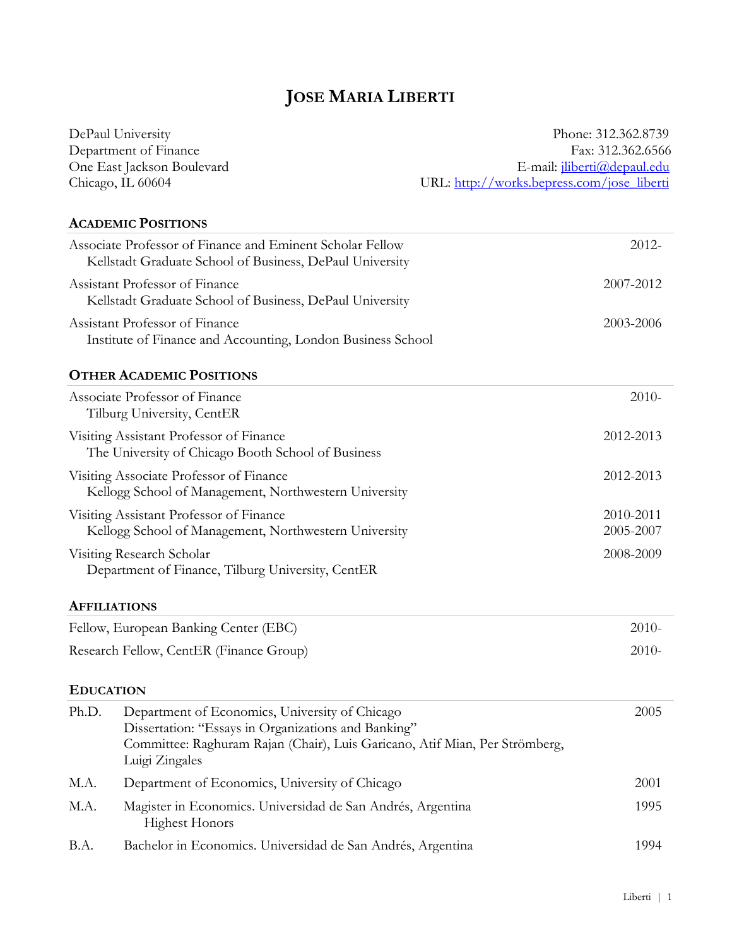# **JOSE MARIA LIBERTI**

|                                                                                | DePaul University                                                                                                                                                                                      | Phone: 312.362.8739                                     |  |
|--------------------------------------------------------------------------------|--------------------------------------------------------------------------------------------------------------------------------------------------------------------------------------------------------|---------------------------------------------------------|--|
| Department of Finance                                                          |                                                                                                                                                                                                        | Fax: 312.362.6566<br>E-mail: <i>iliberti@depaul.edu</i> |  |
| One East Jackson Boulevard                                                     |                                                                                                                                                                                                        |                                                         |  |
|                                                                                | Chicago, IL 60604                                                                                                                                                                                      | URL: http://works.bepress.com/jose_liberti              |  |
|                                                                                | <b>ACADEMIC POSITIONS</b>                                                                                                                                                                              |                                                         |  |
|                                                                                | Associate Professor of Finance and Eminent Scholar Fellow<br>Kellstadt Graduate School of Business, DePaul University                                                                                  | $2012 -$                                                |  |
|                                                                                | Assistant Professor of Finance<br>Kellstadt Graduate School of Business, DePaul University                                                                                                             | 2007-2012                                               |  |
|                                                                                | Assistant Professor of Finance<br>Institute of Finance and Accounting, London Business School                                                                                                          | 2003-2006                                               |  |
|                                                                                | <b>OTHER ACADEMIC POSITIONS</b>                                                                                                                                                                        |                                                         |  |
|                                                                                | Associate Professor of Finance<br>Tilburg University, CentER                                                                                                                                           | $2010-$                                                 |  |
|                                                                                | Visiting Assistant Professor of Finance<br>The University of Chicago Booth School of Business                                                                                                          | 2012-2013                                               |  |
|                                                                                | Visiting Associate Professor of Finance<br>Kellogg School of Management, Northwestern University                                                                                                       | 2012-2013                                               |  |
|                                                                                | Visiting Assistant Professor of Finance<br>Kellogg School of Management, Northwestern University                                                                                                       | 2010-2011<br>2005-2007                                  |  |
| Visiting Research Scholar<br>Department of Finance, Tilburg University, CentER |                                                                                                                                                                                                        | 2008-2009                                               |  |
|                                                                                | <b>AFFILIATIONS</b>                                                                                                                                                                                    |                                                         |  |
|                                                                                | Fellow, European Banking Center (EBC)                                                                                                                                                                  | $2010-$                                                 |  |
|                                                                                | Research Fellow, CentER (Finance Group)                                                                                                                                                                | $2010-$                                                 |  |
| <b>EDUCATION</b>                                                               |                                                                                                                                                                                                        |                                                         |  |
| Ph.D.                                                                          | Department of Economics, University of Chicago<br>Dissertation: "Essays in Organizations and Banking"<br>Committee: Raghuram Rajan (Chair), Luis Garicano, Atif Mian, Per Strömberg,<br>Luigi Zingales | 2005                                                    |  |
| M.A.                                                                           | Department of Economics, University of Chicago                                                                                                                                                         | 2001                                                    |  |
| M.A.                                                                           | Magister in Economics. Universidad de San Andrés, Argentina<br><b>Highest Honors</b>                                                                                                                   | 1995                                                    |  |
| B.A.                                                                           | Bachelor in Economics. Universidad de San Andrés, Argentina                                                                                                                                            | 1994                                                    |  |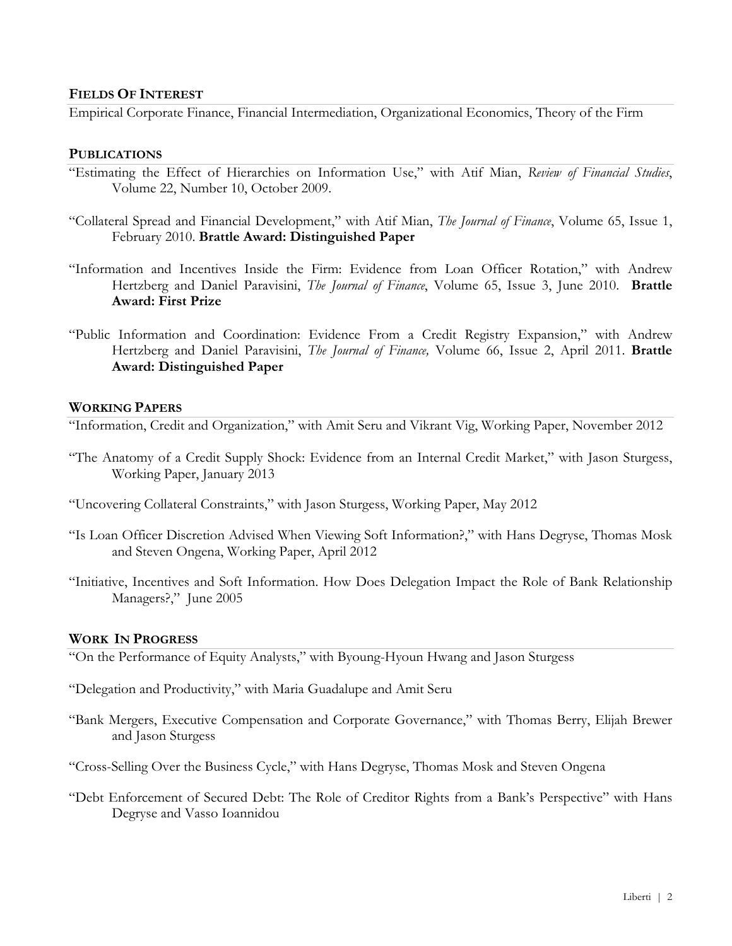## **FIELDS OF INTEREST**

Empirical Corporate Finance, Financial Intermediation, Organizational Economics, Theory of the Firm

#### **PUBLICATIONS**

- "Estimating the Effect of Hierarchies on Information Use," with Atif Mian, *Review of Financial Studies*, Volume 22, Number 10, October 2009.
- "Collateral Spread and Financial Development," with Atif Mian, *The Journal of Finance*, Volume 65, Issue 1, February 2010. **Brattle Award: Distinguished Paper**
- "Information and Incentives Inside the Firm: Evidence from Loan Officer Rotation," with Andrew Hertzberg and Daniel Paravisini, *The Journal of Finance*, Volume 65, Issue 3, June 2010. **Brattle Award: First Prize**
- "Public Information and Coordination: Evidence From a Credit Registry Expansion," with Andrew Hertzberg and Daniel Paravisini, *The Journal of Finance,* Volume 66, Issue 2, April 2011. **Brattle Award: Distinguished Paper**

#### **WORKING PAPERS**

"Information, Credit and Organization," with Amit Seru and Vikrant Vig, Working Paper, November 2012

- "The Anatomy of a Credit Supply Shock: Evidence from an Internal Credit Market," with Jason Sturgess, Working Paper, January 2013
- "Uncovering Collateral Constraints," with Jason Sturgess, Working Paper, May 2012
- "Is Loan Officer Discretion Advised When Viewing Soft Information?," with Hans Degryse, Thomas Mosk and Steven Ongena, Working Paper, April 2012
- "Initiative, Incentives and Soft Information. How Does Delegation Impact the Role of Bank Relationship Managers?," June 2005

## **WORK IN PROGRESS**

"On the Performance of Equity Analysts," with Byoung-Hyoun Hwang and Jason Sturgess

- "Delegation and Productivity," with Maria Guadalupe and Amit Seru
- "Bank Mergers, Executive Compensation and Corporate Governance," with Thomas Berry, Elijah Brewer and Jason Sturgess
- "Cross-Selling Over the Business Cycle," with Hans Degryse, Thomas Mosk and Steven Ongena
- "Debt Enforcement of Secured Debt: The Role of Creditor Rights from a Bank's Perspective" with Hans Degryse and Vasso Ioannidou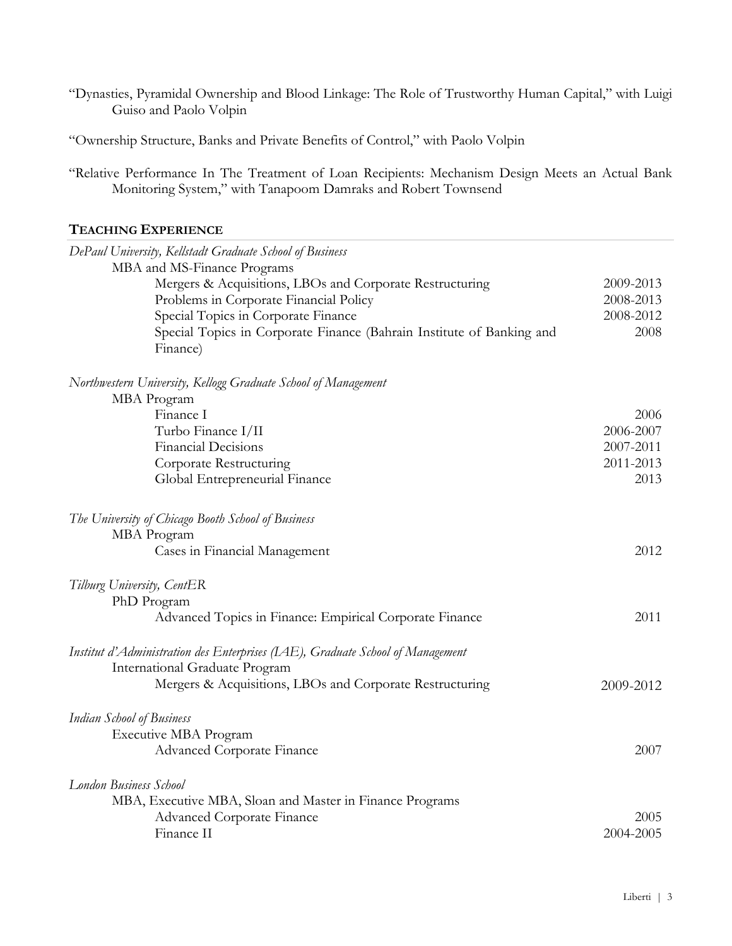"Dynasties, Pyramidal Ownership and Blood Linkage: The Role of Trustworthy Human Capital," with Luigi Guiso and Paolo Volpin

"Ownership Structure, Banks and Private Benefits of Control," with Paolo Volpin

"Relative Performance In The Treatment of Loan Recipients: Mechanism Design Meets an Actual Bank Monitoring System," with Tanapoom Damraks and Robert Townsend

# **TEACHING EXPERIENCE**

| DePaul University, Kellstadt Graduate School of Business                       |           |
|--------------------------------------------------------------------------------|-----------|
| MBA and MS-Finance Programs                                                    |           |
| Mergers & Acquisitions, LBOs and Corporate Restructuring                       | 2009-2013 |
| Problems in Corporate Financial Policy                                         | 2008-2013 |
| Special Topics in Corporate Finance                                            | 2008-2012 |
| Special Topics in Corporate Finance (Bahrain Institute of Banking and          | 2008      |
| Finance)                                                                       |           |
| Northwestern University, Kellogg Graduate School of Management                 |           |
| MBA Program                                                                    |           |
| Finance I                                                                      | 2006      |
| Turbo Finance I/II                                                             | 2006-2007 |
| <b>Financial Decisions</b>                                                     | 2007-2011 |
| Corporate Restructuring                                                        | 2011-2013 |
| Global Entrepreneurial Finance                                                 | 2013      |
| The University of Chicago Booth School of Business                             |           |
| MBA Program                                                                    |           |
| Cases in Financial Management                                                  | 2012      |
| Tilburg University, CentER                                                     |           |
| PhD Program                                                                    |           |
| Advanced Topics in Finance: Empirical Corporate Finance                        | 2011      |
| Institut d'Administration des Enterprises (IAE), Graduate School of Management |           |
| International Graduate Program                                                 |           |
| Mergers & Acquisitions, LBOs and Corporate Restructuring                       | 2009-2012 |
| <b>Indian School of Business</b>                                               |           |
| Executive MBA Program                                                          |           |
| Advanced Corporate Finance                                                     | 2007      |
| <b>London Business School</b>                                                  |           |
| MBA, Executive MBA, Sloan and Master in Finance Programs                       |           |
| <b>Advanced Corporate Finance</b>                                              | 2005      |
| Finance II                                                                     | 2004-2005 |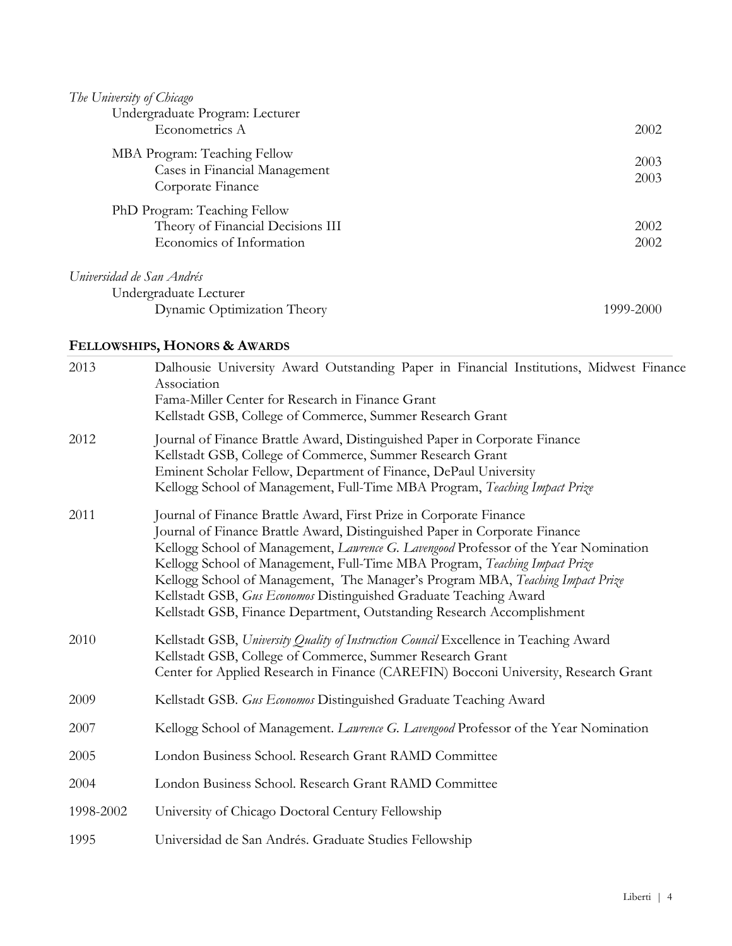| The University of Chicago                                                                     |              |
|-----------------------------------------------------------------------------------------------|--------------|
| Undergraduate Program: Lecturer                                                               |              |
| Econometrics A                                                                                | 2002         |
| MBA Program: Teaching Fellow<br>Cases in Financial Management<br>Corporate Finance            | 2003<br>2003 |
| PhD Program: Teaching Fellow<br>Theory of Financial Decisions III<br>Economics of Information | 2002<br>2002 |
| Universidad de San Andrés<br>Undergraduate Lecturer                                           |              |
| Dynamic Optimization Theory                                                                   | 1999-2000    |

# **FELLOWSHIPS, HONORS & AWARDS**

| 2013      | Dalhousie University Award Outstanding Paper in Financial Institutions, Midwest Finance<br>Association<br>Fama-Miller Center for Research in Finance Grant<br>Kellstadt GSB, College of Commerce, Summer Research Grant                                                                                                                                                                                                                                                                                                                                 |
|-----------|---------------------------------------------------------------------------------------------------------------------------------------------------------------------------------------------------------------------------------------------------------------------------------------------------------------------------------------------------------------------------------------------------------------------------------------------------------------------------------------------------------------------------------------------------------|
| 2012      | Journal of Finance Brattle Award, Distinguished Paper in Corporate Finance<br>Kellstadt GSB, College of Commerce, Summer Research Grant<br>Eminent Scholar Fellow, Department of Finance, DePaul University<br>Kellogg School of Management, Full-Time MBA Program, Teaching Impact Prize                                                                                                                                                                                                                                                               |
| 2011      | Journal of Finance Brattle Award, First Prize in Corporate Finance<br>Journal of Finance Brattle Award, Distinguished Paper in Corporate Finance<br>Kellogg School of Management, Lawrence G. Lavengood Professor of the Year Nomination<br>Kellogg School of Management, Full-Time MBA Program, Teaching Impact Prize<br>Kellogg School of Management, The Manager's Program MBA, Teaching Impact Prize<br>Kellstadt GSB, Gus Economos Distinguished Graduate Teaching Award<br>Kellstadt GSB, Finance Department, Outstanding Research Accomplishment |
| 2010      | Kellstadt GSB, University Quality of Instruction Council Excellence in Teaching Award<br>Kellstadt GSB, College of Commerce, Summer Research Grant<br>Center for Applied Research in Finance (CAREFIN) Bocconi University, Research Grant                                                                                                                                                                                                                                                                                                               |
| 2009      | Kellstadt GSB. Gus Economos Distinguished Graduate Teaching Award                                                                                                                                                                                                                                                                                                                                                                                                                                                                                       |
| 2007      | Kellogg School of Management. Lawrence G. Lavengood Professor of the Year Nomination                                                                                                                                                                                                                                                                                                                                                                                                                                                                    |
| 2005      | London Business School. Research Grant RAMD Committee                                                                                                                                                                                                                                                                                                                                                                                                                                                                                                   |
| 2004      | London Business School. Research Grant RAMD Committee                                                                                                                                                                                                                                                                                                                                                                                                                                                                                                   |
| 1998-2002 | University of Chicago Doctoral Century Fellowship                                                                                                                                                                                                                                                                                                                                                                                                                                                                                                       |
| 1995      | Universidad de San Andrés. Graduate Studies Fellowship                                                                                                                                                                                                                                                                                                                                                                                                                                                                                                  |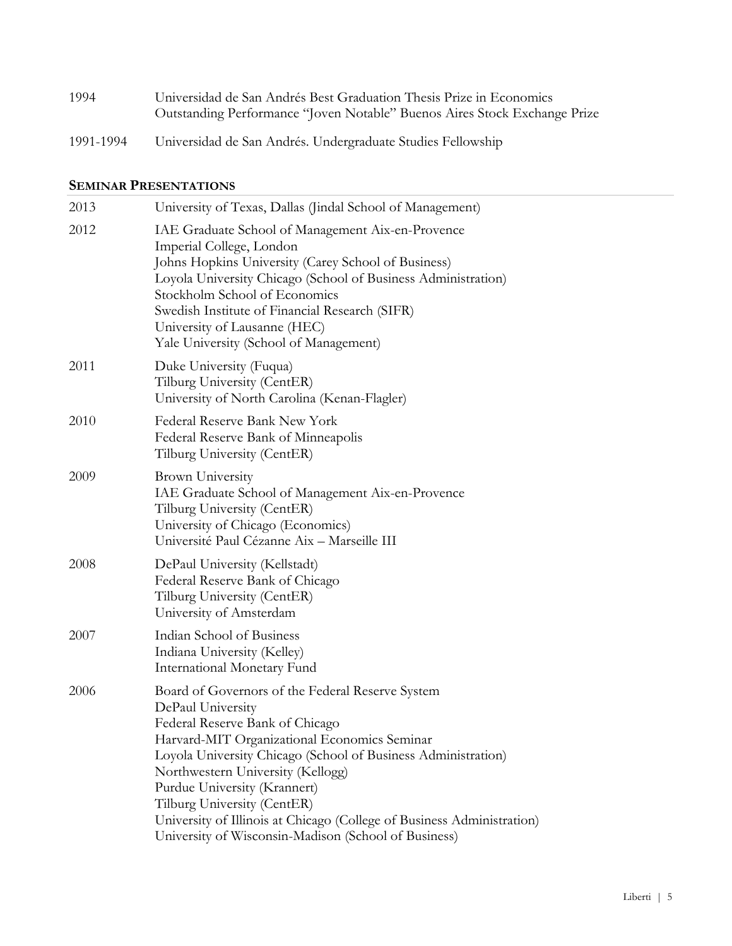| 1994      | Universidad de San Andrés Best Graduation Thesis Prize in Economics              |
|-----------|----------------------------------------------------------------------------------|
|           | <b>Outstanding Performance "Joven Notable" Buenos Aires Stock Exchange Prize</b> |
| 1991-1994 | Universidad de San Andrés. Undergraduate Studies Fellowship                      |

# **SEMINAR PRESENTATIONS**

| 2013 | University of Texas, Dallas (Jindal School of Management)                                                                                                                                                                                                                                                                                                                                                                                                       |
|------|-----------------------------------------------------------------------------------------------------------------------------------------------------------------------------------------------------------------------------------------------------------------------------------------------------------------------------------------------------------------------------------------------------------------------------------------------------------------|
| 2012 | IAE Graduate School of Management Aix-en-Provence<br>Imperial College, London<br>Johns Hopkins University (Carey School of Business)<br>Loyola University Chicago (School of Business Administration)<br>Stockholm School of Economics<br>Swedish Institute of Financial Research (SIFR)<br>University of Lausanne (HEC)<br>Yale University (School of Management)                                                                                              |
| 2011 | Duke University (Fuqua)<br>Tilburg University (CentER)<br>University of North Carolina (Kenan-Flagler)                                                                                                                                                                                                                                                                                                                                                          |
| 2010 | Federal Reserve Bank New York<br>Federal Reserve Bank of Minneapolis<br>Tilburg University (CentER)                                                                                                                                                                                                                                                                                                                                                             |
| 2009 | <b>Brown University</b><br>IAE Graduate School of Management Aix-en-Provence<br>Tilburg University (CentER)<br>University of Chicago (Economics)<br>Université Paul Cézanne Aix - Marseille III                                                                                                                                                                                                                                                                 |
| 2008 | DePaul University (Kellstadt)<br>Federal Reserve Bank of Chicago<br>Tilburg University (CentER)<br>University of Amsterdam                                                                                                                                                                                                                                                                                                                                      |
| 2007 | Indian School of Business<br>Indiana University (Kelley)<br>International Monetary Fund                                                                                                                                                                                                                                                                                                                                                                         |
| 2006 | Board of Governors of the Federal Reserve System<br>DePaul University<br>Federal Reserve Bank of Chicago<br>Harvard-MIT Organizational Economics Seminar<br>Loyola University Chicago (School of Business Administration)<br>Northwestern University (Kellogg)<br>Purdue University (Krannert)<br>Tilburg University (CentER)<br>University of Illinois at Chicago (College of Business Administration)<br>University of Wisconsin-Madison (School of Business) |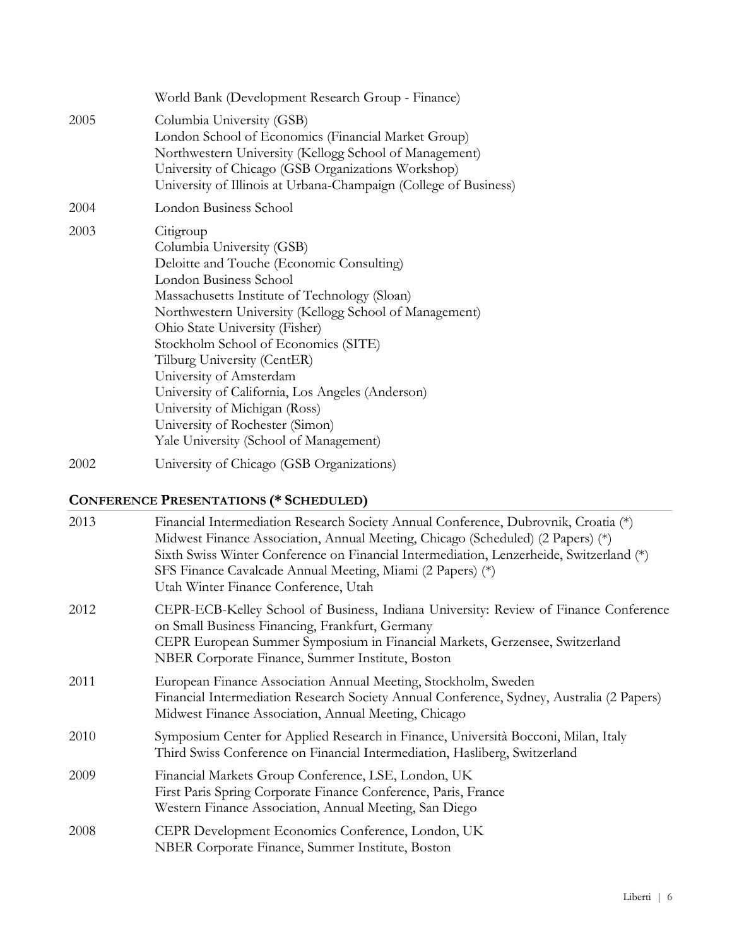|      | World Bank (Development Research Group - Finance)                                                                                                                                                                                                                                                                                                                                                                                                                                                                              |
|------|--------------------------------------------------------------------------------------------------------------------------------------------------------------------------------------------------------------------------------------------------------------------------------------------------------------------------------------------------------------------------------------------------------------------------------------------------------------------------------------------------------------------------------|
| 2005 | Columbia University (GSB)<br>London School of Economics (Financial Market Group)<br>Northwestern University (Kellogg School of Management)<br>University of Chicago (GSB Organizations Workshop)<br>University of Illinois at Urbana-Champaign (College of Business)                                                                                                                                                                                                                                                           |
| 2004 | London Business School                                                                                                                                                                                                                                                                                                                                                                                                                                                                                                         |
| 2003 | Citigroup<br>Columbia University (GSB)<br>Deloitte and Touche (Economic Consulting)<br>London Business School<br>Massachusetts Institute of Technology (Sloan)<br>Northwestern University (Kellogg School of Management)<br>Ohio State University (Fisher)<br>Stockholm School of Economics (SITE)<br>Tilburg University (CentER)<br>University of Amsterdam<br>University of California, Los Angeles (Anderson)<br>University of Michigan (Ross)<br>University of Rochester (Simon)<br>Yale University (School of Management) |
| 2002 | University of Chicago (GSB Organizations)                                                                                                                                                                                                                                                                                                                                                                                                                                                                                      |

# **CONFERENCE PRESENTATIONS (\* SCHEDULED)**

| 2013 | Financial Intermediation Research Society Annual Conference, Dubrovnik, Croatia (*)<br>Midwest Finance Association, Annual Meeting, Chicago (Scheduled) (2 Papers) (*)<br>Sixth Swiss Winter Conference on Financial Intermediation, Lenzerheide, Switzerland (*)<br>SFS Finance Cavalcade Annual Meeting, Miami (2 Papers) (*)<br>Utah Winter Finance Conference, Utah |
|------|-------------------------------------------------------------------------------------------------------------------------------------------------------------------------------------------------------------------------------------------------------------------------------------------------------------------------------------------------------------------------|
| 2012 | CEPR-ECB-Kelley School of Business, Indiana University: Review of Finance Conference<br>on Small Business Financing, Frankfurt, Germany<br>CEPR European Summer Symposium in Financial Markets, Gerzensee, Switzerland<br>NBER Corporate Finance, Summer Institute, Boston                                                                                              |
| 2011 | European Finance Association Annual Meeting, Stockholm, Sweden<br>Financial Intermediation Research Society Annual Conference, Sydney, Australia (2 Papers)<br>Midwest Finance Association, Annual Meeting, Chicago                                                                                                                                                     |
| 2010 | Symposium Center for Applied Research in Finance, Università Bocconi, Milan, Italy<br>Third Swiss Conference on Financial Intermediation, Hasliberg, Switzerland                                                                                                                                                                                                        |
| 2009 | Financial Markets Group Conference, LSE, London, UK<br>First Paris Spring Corporate Finance Conference, Paris, France<br>Western Finance Association, Annual Meeting, San Diego                                                                                                                                                                                         |
| 2008 | CEPR Development Economics Conference, London, UK<br>NBER Corporate Finance, Summer Institute, Boston                                                                                                                                                                                                                                                                   |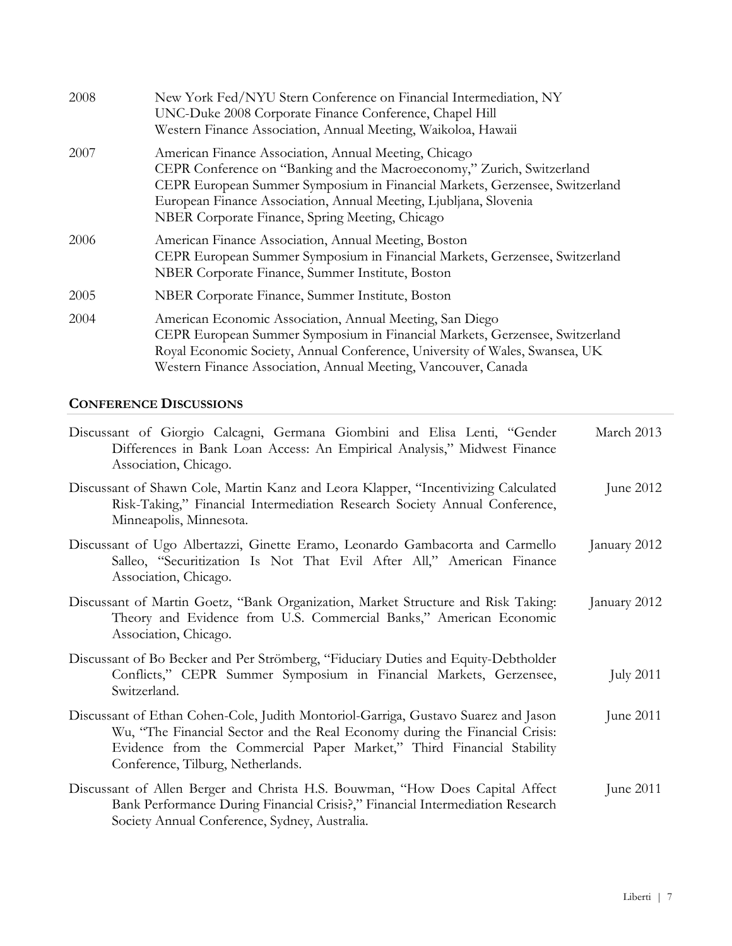| 2008 | New York Fed/NYU Stern Conference on Financial Intermediation, NY<br>UNC-Duke 2008 Corporate Finance Conference, Chapel Hill<br>Western Finance Association, Annual Meeting, Waikoloa, Hawaii                                                                                                                                          |
|------|----------------------------------------------------------------------------------------------------------------------------------------------------------------------------------------------------------------------------------------------------------------------------------------------------------------------------------------|
| 2007 | American Finance Association, Annual Meeting, Chicago<br>CEPR Conference on "Banking and the Macroeconomy," Zurich, Switzerland<br>CEPR European Summer Symposium in Financial Markets, Gerzensee, Switzerland<br>European Finance Association, Annual Meeting, Ljubljana, Slovenia<br>NBER Corporate Finance, Spring Meeting, Chicago |
| 2006 | American Finance Association, Annual Meeting, Boston<br>CEPR European Summer Symposium in Financial Markets, Gerzensee, Switzerland<br>NBER Corporate Finance, Summer Institute, Boston                                                                                                                                                |
| 2005 | NBER Corporate Finance, Summer Institute, Boston                                                                                                                                                                                                                                                                                       |
| 2004 | American Economic Association, Annual Meeting, San Diego<br>CEPR European Summer Symposium in Financial Markets, Gerzensee, Switzerland<br>Royal Economic Society, Annual Conference, University of Wales, Swansea, UK<br>Western Finance Association, Annual Meeting, Vancouver, Canada                                               |

# **CONFERENCE DISCUSSIONS**

| Discussant of Giorgio Calcagni, Germana Giombini and Elisa Lenti, "Gender<br>Differences in Bank Loan Access: An Empirical Analysis," Midwest Finance<br>Association, Chicago.                                                                                                  | March 2013       |
|---------------------------------------------------------------------------------------------------------------------------------------------------------------------------------------------------------------------------------------------------------------------------------|------------------|
| Discussant of Shawn Cole, Martin Kanz and Leora Klapper, "Incentivizing Calculated"<br>Risk-Taking," Financial Intermediation Research Society Annual Conference,<br>Minneapolis, Minnesota.                                                                                    | June 2012        |
| Discussant of Ugo Albertazzi, Ginette Eramo, Leonardo Gambacorta and Carmello<br>Salleo, "Securitization Is Not That Evil After All," American Finance<br>Association, Chicago.                                                                                                 | January 2012     |
| Discussant of Martin Goetz, "Bank Organization, Market Structure and Risk Taking:<br>Theory and Evidence from U.S. Commercial Banks," American Economic<br>Association, Chicago.                                                                                                | January 2012     |
| Discussant of Bo Becker and Per Strömberg, "Fiduciary Duties and Equity-Debtholder<br>Conflicts," CEPR Summer Symposium in Financial Markets, Gerzensee,<br>Switzerland.                                                                                                        | <b>July 2011</b> |
| Discussant of Ethan Cohen-Cole, Judith Montoriol-Garriga, Gustavo Suarez and Jason<br>Wu, "The Financial Sector and the Real Economy during the Financial Crisis:<br>Evidence from the Commercial Paper Market," Third Financial Stability<br>Conference, Tilburg, Netherlands. | June 2011        |
| Discussant of Allen Berger and Christa H.S. Bouwman, "How Does Capital Affect<br>Bank Performance During Financial Crisis?," Financial Intermediation Research<br>Society Annual Conference, Sydney, Australia.                                                                 | June $2011$      |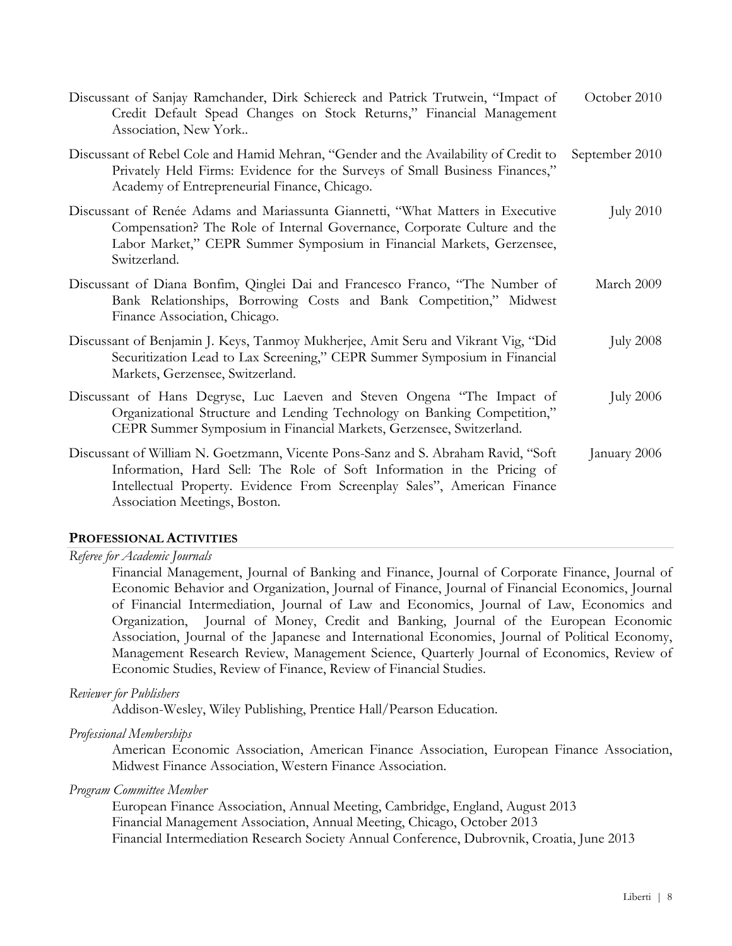| Discussant of Sanjay Ramchander, Dirk Schiereck and Patrick Trutwein, "Impact of<br>Credit Default Spead Changes on Stock Returns," Financial Management<br>Association, New York                                                                                        | October 2010     |
|--------------------------------------------------------------------------------------------------------------------------------------------------------------------------------------------------------------------------------------------------------------------------|------------------|
| Discussant of Rebel Cole and Hamid Mehran, "Gender and the Availability of Credit to<br>Privately Held Firms: Evidence for the Surveys of Small Business Finances,"<br>Academy of Entrepreneurial Finance, Chicago.                                                      | September 2010   |
| Discussant of Renée Adams and Mariassunta Giannetti, "What Matters in Executive<br>Compensation? The Role of Internal Governance, Corporate Culture and the<br>Labor Market," CEPR Summer Symposium in Financial Markets, Gerzensee,<br>Switzerland.                     | <b>July 2010</b> |
| Discussant of Diana Bonfim, Qinglei Dai and Francesco Franco, "The Number of<br>Bank Relationships, Borrowing Costs and Bank Competition," Midwest<br>Finance Association, Chicago.                                                                                      | March 2009       |
| Discussant of Benjamin J. Keys, Tanmoy Mukherjee, Amit Seru and Vikrant Vig, "Did<br>Securitization Lead to Lax Screening," CEPR Summer Symposium in Financial<br>Markets, Gerzensee, Switzerland.                                                                       | <b>July 2008</b> |
| Discussant of Hans Degryse, Luc Laeven and Steven Ongena "The Impact of<br>Organizational Structure and Lending Technology on Banking Competition,"<br>CEPR Summer Symposium in Financial Markets, Gerzensee, Switzerland.                                               | <b>July 2006</b> |
| Discussant of William N. Goetzmann, Vicente Pons-Sanz and S. Abraham Ravid, "Soft<br>Information, Hard Sell: The Role of Soft Information in the Pricing of<br>Intellectual Property. Evidence From Screenplay Sales", American Finance<br>Association Meetings, Boston. | January 2006     |

## **PROFESSIONAL ACTIVITIES**

*Referee for Academic Journals* 

Financial Management, Journal of Banking and Finance, Journal of Corporate Finance, Journal of Economic Behavior and Organization, Journal of Finance, Journal of Financial Economics, Journal of Financial Intermediation, Journal of Law and Economics, Journal of Law, Economics and Organization, Journal of Money, Credit and Banking, Journal of the European Economic Association, Journal of the Japanese and International Economies, Journal of Political Economy, Management Research Review, Management Science, Quarterly Journal of Economics, Review of Economic Studies, Review of Finance, Review of Financial Studies.

*Reviewer for Publishers* 

Addison-Wesley, Wiley Publishing, Prentice Hall/Pearson Education.

*Professional Memberships* 

American Economic Association, American Finance Association, European Finance Association, Midwest Finance Association, Western Finance Association.

*Program Committee Member* 

European Finance Association, Annual Meeting, Cambridge, England, August 2013 Financial Management Association, Annual Meeting, Chicago, October 2013 Financial Intermediation Research Society Annual Conference, Dubrovnik, Croatia, June 2013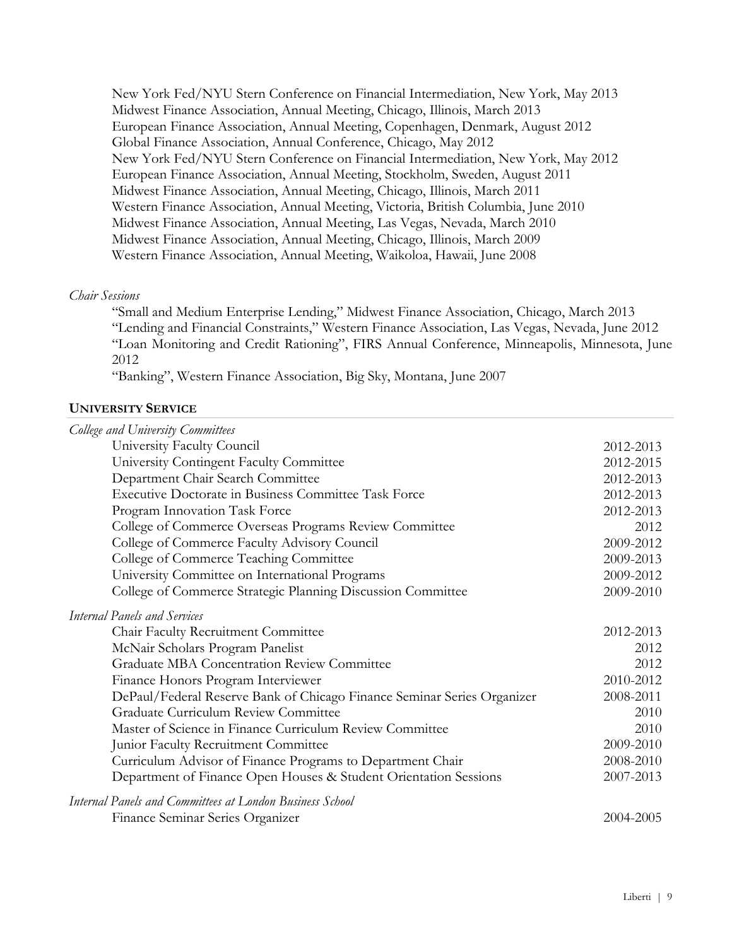New York Fed/NYU Stern Conference on Financial Intermediation, New York, May 2013 Midwest Finance Association, Annual Meeting, Chicago, Illinois, March 2013 European Finance Association, Annual Meeting, Copenhagen, Denmark, August 2012 Global Finance Association, Annual Conference, Chicago, May 2012 New York Fed/NYU Stern Conference on Financial Intermediation, New York, May 2012 European Finance Association, Annual Meeting, Stockholm, Sweden, August 2011 Midwest Finance Association, Annual Meeting, Chicago, Illinois, March 2011 Western Finance Association, Annual Meeting, Victoria, British Columbia, June 2010 Midwest Finance Association, Annual Meeting, Las Vegas, Nevada, March 2010 Midwest Finance Association, Annual Meeting, Chicago, Illinois, March 2009 Western Finance Association, Annual Meeting, Waikoloa, Hawaii, June 2008

## *Chair Sessions*

"Small and Medium Enterprise Lending," Midwest Finance Association, Chicago, March 2013 "Lending and Financial Constraints," Western Finance Association, Las Vegas, Nevada, June 2012 "Loan Monitoring and Credit Rationing", FIRS Annual Conference, Minneapolis, Minnesota, June 2012

"Banking", Western Finance Association, Big Sky, Montana, June 2007

# **UNIVERSITY SERVICE**

| College and University Committees                                       |           |
|-------------------------------------------------------------------------|-----------|
| University Faculty Council                                              | 2012-2013 |
| University Contingent Faculty Committee                                 | 2012-2015 |
| Department Chair Search Committee                                       | 2012-2013 |
| <b>Executive Doctorate in Business Committee Task Force</b>             | 2012-2013 |
| Program Innovation Task Force                                           | 2012-2013 |
| College of Commerce Overseas Programs Review Committee                  | 2012      |
| College of Commerce Faculty Advisory Council                            | 2009-2012 |
| College of Commerce Teaching Committee                                  | 2009-2013 |
| University Committee on International Programs                          | 2009-2012 |
| College of Commerce Strategic Planning Discussion Committee             | 2009-2010 |
| <b>Internal Panels and Services</b>                                     |           |
| Chair Faculty Recruitment Committee                                     | 2012-2013 |
| McNair Scholars Program Panelist                                        | 2012      |
| <b>Graduate MBA Concentration Review Committee</b>                      | 2012      |
| Finance Honors Program Interviewer                                      | 2010-2012 |
| DePaul/Federal Reserve Bank of Chicago Finance Seminar Series Organizer | 2008-2011 |
| Graduate Curriculum Review Committee                                    | 2010      |
| Master of Science in Finance Curriculum Review Committee                | 2010      |
| Junior Faculty Recruitment Committee                                    | 2009-2010 |
| Curriculum Advisor of Finance Programs to Department Chair              | 2008-2010 |
| Department of Finance Open Houses & Student Orientation Sessions        | 2007-2013 |
| Internal Panels and Committees at London Business School                |           |
| Finance Seminar Series Organizer                                        | 2004-2005 |